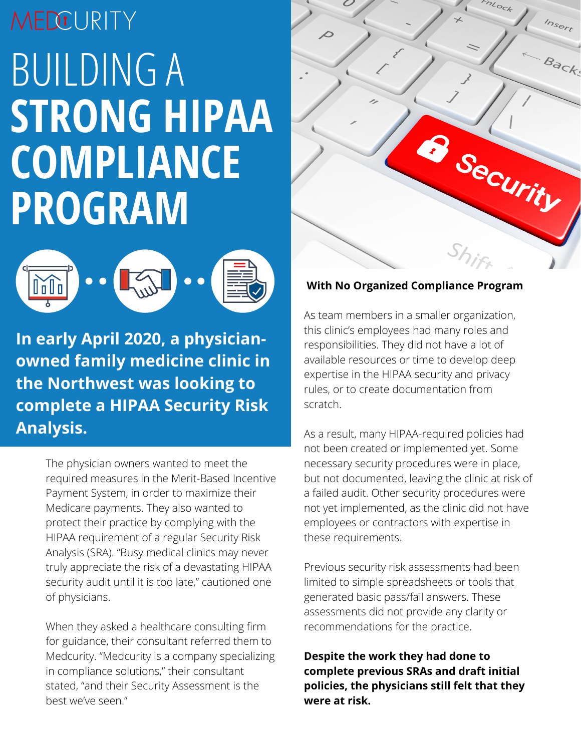## MEDCURITY BUILDING A **STRONG HIPAA COMPLIANCE PROGRAM**



**In early April 2020, a physicianowned family medicine clinic in the Northwest was looking to complete a HIPAA Security Risk Analysis.**

> The physician owners wanted to meet the required measures in the Merit-Based Incentive Payment System, in order to maximize their Medicare payments. They also wanted to protect their practice by complying with the HIPAA requirement of a regular Security Risk Analysis (SRA). "Busy medical clinics may never truly appreciate the risk of a devastating HIPAA security audit until it is too late," cautioned one of physicians.

> When they asked a healthcare consulting firm for guidance, their consultant referred them to Medcurity. "Medcurity is a company specializing in compliance solutions," their consultant stated, "and their Security Assessment is the best we've seen."



## **With No Organized Compliance Program**

As team members in a smaller organization, this clinic's employees had many roles and responsibilities. They did not have a lot of available resources or time to develop deep expertise in the HIPAA security and privacy rules, or to create documentation from scratch.

As a result, many HIPAA-required policies had not been created or implemented yet. Some necessary security procedures were in place, but not documented, leaving the clinic at risk of a failed audit. Other security procedures were not yet implemented, as the clinic did not have employees or contractors with expertise in these requirements.

Previous security risk assessments had been limited to simple spreadsheets or tools that generated basic pass/fail answers. These assessments did not provide any clarity or recommendations for the practice.

**Despite the work they had done to complete previous SRAs and draft initial policies, the physicians still felt that they were at risk.**